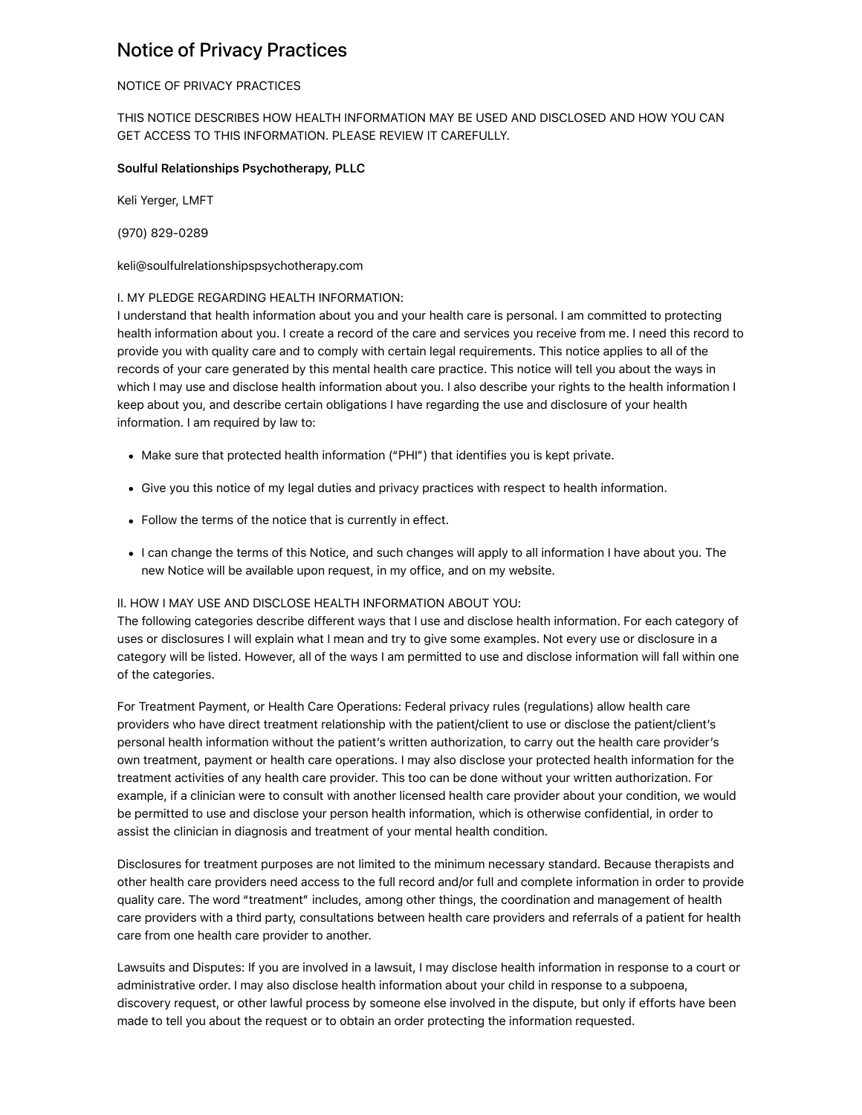# Notice of Privacy Practices

### NOTICE OF PRIVACY PRACTICES

## THIS NOTICE DESCRIBES HOW HEALTH INFORMATION MAY BE USED AND DISCLOSED AND HOW YOU CAN GET ACCESS TO THIS INFORMATION. PLEASE REVIEW IT CAREFULLY.

#### Soulful Relationships Psychotherapy, PLLC

Keli Yerger, LMFT

(970) 829-0289

keli@soulfulrelationshipspsychotherapy.com

#### I. MY PLEDGE REGARDING HEALTH INFORMATION:

I understand that health information about you and your health care is personal. I am committed to protecting health information about you. I create a record of the care and services you receive from me. I need this record to provide you with quality care and to comply with certain legal requirements. This notice applies to all of the records of your care generated by this mental health care practice. This notice will tell you about the ways in which I may use and disclose health information about you. I also describe your rights to the health information I keep about you, and describe certain obligations I have regarding the use and disclosure of your health information. I am required by law to:

- Make sure that protected health information ("PHI") that identifies you is kept private.
- Give you this notice of my legal duties and privacy practices with respect to health information.
- Follow the terms of the notice that is currently in effect.
- I can change the terms of this Notice, and such changes will apply to all information I have about you. The new Notice will be available upon request, in my office, and on my website.

#### II. HOW I MAY USE AND DISCLOSE HEALTH INFORMATION ABOUT YOU:

The following categories describe different ways that I use and disclose health information. For each category of uses or disclosures I will explain what I mean and try to give some examples. Not every use or disclosure in a category will be listed. However, all of the ways I am permitted to use and disclose information will fall within one of the categories.

For Treatment Payment, or Health Care Operations: Federal privacy rules (regulations) allow health care providers who have direct treatment relationship with the patient/client to use or disclose the patient/client's personal health information without the patient's written authorization, to carry out the health care provider's own treatment, payment or health care operations. I may also disclose your protected health information for the treatment activities of any health care provider. This too can be done without your written authorization. For example, if a clinician were to consult with another licensed health care provider about your condition, we would be permitted to use and disclose your person health information, which is otherwise confidential, in order to assist the clinician in diagnosis and treatment of your mental health condition.

Disclosures for treatment purposes are not limited to the minimum necessary standard. Because therapists and other health care providers need access to the full record and/or full and complete information in order to provide quality care. The word "treatment" includes, among other things, the coordination and management of health care providers with a third party, consultations between health care providers and referrals of a patient for health care from one health care provider to another.

Lawsuits and Disputes: If you are involved in a lawsuit, I may disclose health information in response to a court or administrative order. I may also disclose health information about your child in response to a subpoena, discovery request, or other lawful process by someone else involved in the dispute, but only if efforts have been made to tell you about the request or to obtain an order protecting the information requested.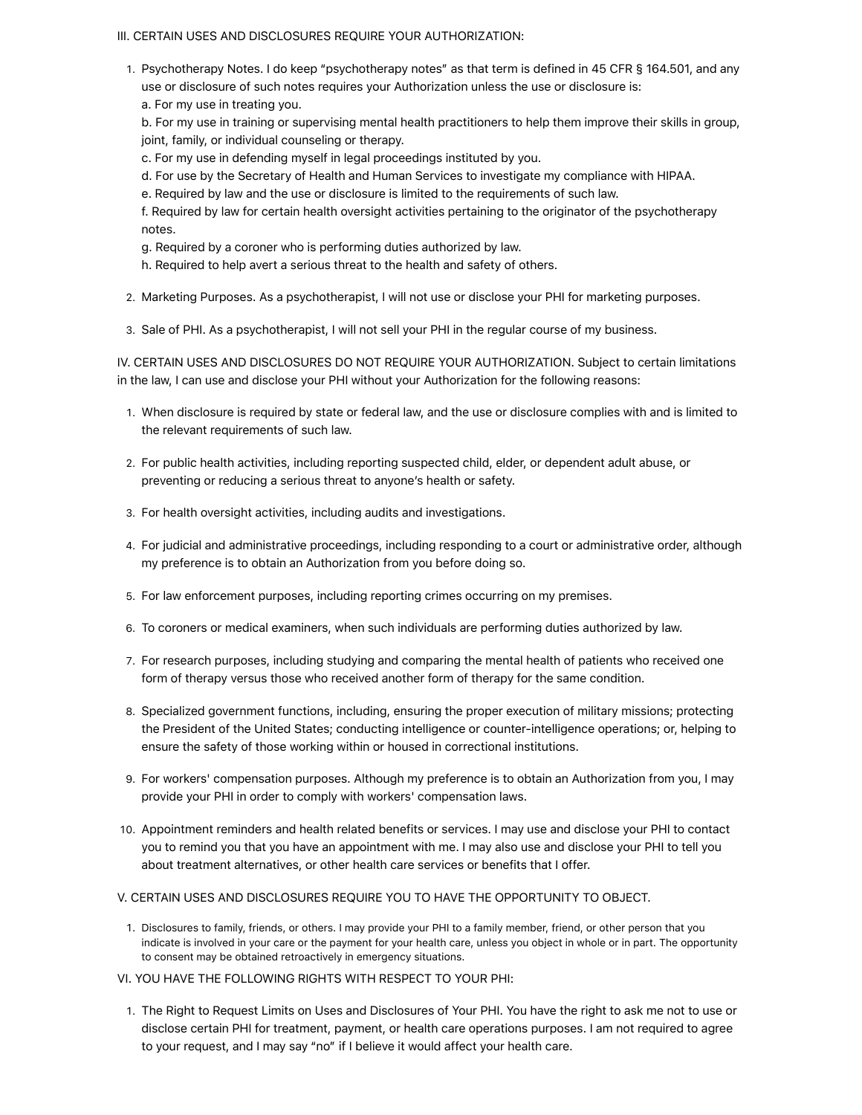#### III. CERTAIN USES AND DISCLOSURES REQUIRE YOUR AUTHORIZATION:

1. Psychotherapy Notes. I do keep "psychotherapy notes" as that term is defined in 45 CFR § 164.501, and any use or disclosure of such notes requires your Authorization unless the use or disclosure is: a. For my use in treating you.

b. For my use in training or supervising mental health practitioners to help them improve their skills in group, joint, family, or individual counseling or therapy.

c. For my use in defending myself in legal proceedings instituted by you.

d. For use by the Secretary of Health and Human Services to investigate my compliance with HIPAA.

e. Required by law and the use or disclosure is limited to the requirements of such law.

f. Required by law for certain health oversight activities pertaining to the originator of the psychotherapy notes.

g. Required by a coroner who is performing duties authorized by law.

h. Required to help avert a serious threat to the health and safety of others.

2. Marketing Purposes. As a psychotherapist, I will not use or disclose your PHI for marketing purposes.

3. Sale of PHI. As a psychotherapist, I will not sell your PHI in the regular course of my business.

IV. CERTAIN USES AND DISCLOSURES DO NOT REQUIRE YOUR AUTHORIZATION. Subject to certain limitations in the law, I can use and disclose your PHI without your Authorization for the following reasons:

- 1. When disclosure is required by state or federal law, and the use or disclosure complies with and is limited to the relevant requirements of such law.
- 2. For public health activities, including reporting suspected child, elder, or dependent adult abuse, or preventing or reducing a serious threat to anyone's health or safety.
- 3. For health oversight activities, including audits and investigations.
- 4. For judicial and administrative proceedings, including responding to a court or administrative order, although my preference is to obtain an Authorization from you before doing so.
- 5. For law enforcement purposes, including reporting crimes occurring on my premises.
- 6. To coroners or medical examiners, when such individuals are performing duties authorized by law.
- 7. For research purposes, including studying and comparing the mental health of patients who received one form of therapy versus those who received another form of therapy for the same condition.
- 8. Specialized government functions, including, ensuring the proper execution of military missions; protecting the President of the United States; conducting intelligence or counter-intelligence operations; or, helping to ensure the safety of those working within or housed in correctional institutions.
- 9. For workers' compensation purposes. Although my preference is to obtain an Authorization from you, I may provide your PHI in order to comply with workers' compensation laws.
- 10. Appointment reminders and health related benefits or services. I may use and disclose your PHI to contact you to remind you that you have an appointment with me. I may also use and disclose your PHI to tell you about treatment alternatives, or other health care services or benefits that I offer.

#### V. CERTAIN USES AND DISCLOSURES REQUIRE YOU TO HAVE THE OPPORTUNITY TO OBJECT.

1. Disclosures to family, friends, or others. I may provide your PHI to a family member, friend, or other person that you indicate is involved in your care or the payment for your health care, unless you object in whole or in part. The opportunity to consent may be obtained retroactively in emergency situations.

VI. YOU HAVE THE FOLLOWING RIGHTS WITH RESPECT TO YOUR PHI:

1. The Right to Request Limits on Uses and Disclosures of Your PHI. You have the right to ask me not to use or disclose certain PHI for treatment, payment, or health care operations purposes. I am not required to agree to your request, and I may say "no" if I believe it would affect your health care.